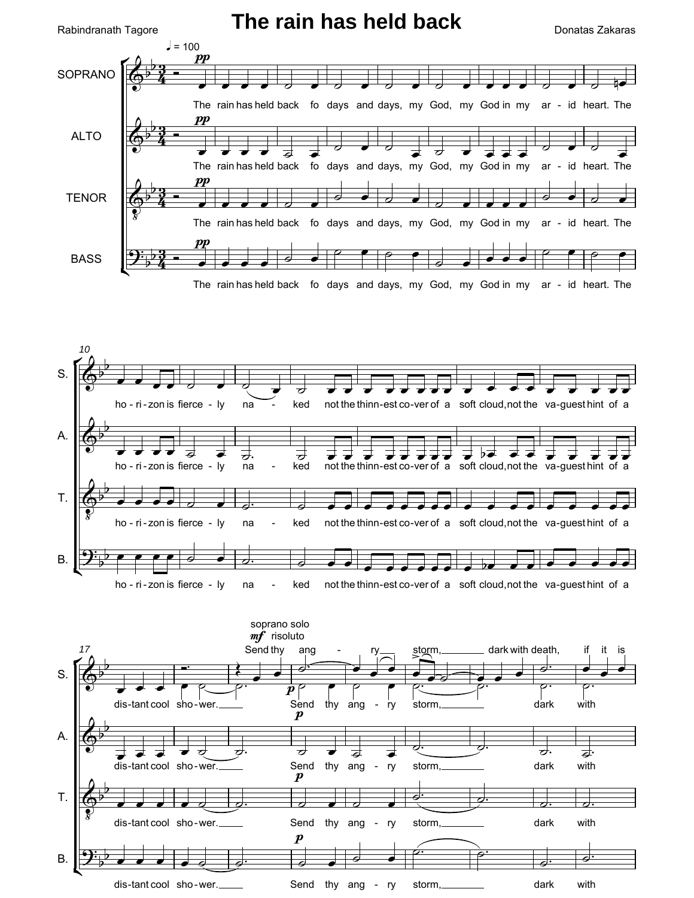